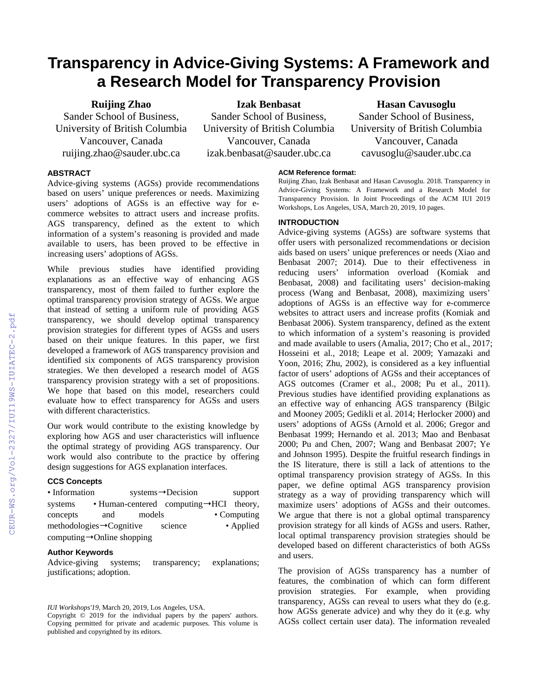# **Transparency in Advice-Giving Systems: A Framework and a Research Model for Transparency Provision**

**Ruijing Zhao**

Sander School of Business, University of British Columbia Vancouver, Canada ruijing.zhao@sauder.ubc.ca

**Izak Benbasat**

Sander School of Business, University of British Columbia Vancouver, Canada izak.benbasat@sauder.ubc.ca

# **Hasan Cavusoglu**

Sander School of Business, University of British Columbia Vancouver, Canada cavusoglu@sauder.ubc.ca

# **ABSTRACT**

Advice-giving systems (AGSs) provide recommendations based on users' unique preferences or needs. Maximizing users' adoptions of AGSs is an effective way for ecommerce websites to attract users and increase profits. AGS transparency, defined as the extent to which information of a system's reasoning is provided and made available to users, has been proved to be effective in increasing users' adoptions of AGSs.

While previous studies have identified providing explanations as an effective way of enhancing AGS transparency, most of them failed to further explore the optimal transparency provision strategy of AGSs. We argue that instead of setting a uniform rule of providing AGS transparency, we should develop optimal transparency provision strategies for different types of AGSs and users based on their unique features. In this paper, we first developed a framework of AGS transparency provision and identified six components of AGS transparency provision strategies. We then developed a research model of AGS transparency provision strategy with a set of propositions. We hope that based on this model, researchers could evaluate how to effect transparency for AGSs and users with different characteristics.

Our work would contribute to the existing knowledge by exploring how AGS and user characteristics will influence the optimal strategy of providing AGS transparency. Our work would also contribute to the practice by offering design suggestions for AGS explanation interfaces.

## **CCS Concepts**

| • Information                           |     |        | $systems \rightarrow Decision$                       |  | support             |
|-----------------------------------------|-----|--------|------------------------------------------------------|--|---------------------|
| systems                                 |     |        | • Human-centered computing $\rightarrow$ HCI theory, |  |                     |
| concepts                                | and | models |                                                      |  | $\bullet$ Computing |
| methodologies $\rightarrow$ Cognitive   |     |        | science                                              |  | • Applied           |
| computing $\rightarrow$ Online shopping |     |        |                                                      |  |                     |

#### **Author Keywords**

Advice-giving systems; transparency; explanations; justifications; adoption.

#### **ACM Reference format:**

Ruijing Zhao, Izak Benbasat and Hasan Cavusoglu. 2018. Transparency in Advice-Giving Systems: A Framework and a Research Model for Transparency Provision. In Joint Proceedings of the ACM IUI 2019 Workshops, Los Angeles, USA, March 20, 2019, 10 pages.

### **INTRODUCTION**

Advice-giving systems (AGSs) are software systems that offer users with personalized recommendations or decision aids based on users' unique preferences or needs (Xiao and Benbasat 2007; 2014). Due to their effectiveness in reducing users' information overload (Komiak and Benbasat, 2008) and facilitating users' decision-making process (Wang and Benbasat, 2008), maximizing users' adoptions of AGSs is an effective way for e-commerce websites to attract users and increase profits (Komiak and Benbasat 2006). System transparency, defined as the extent to which information of a system's reasoning is provided and made available to users (Amalia, 2017; Cho et al., 2017; Hosseini et al., 2018; Leape et al. 2009; Yamazaki and Yoon, 2016; Zhu, 2002), is considered as a key influential factor of users' adoptions of AGSs and their acceptances of AGS outcomes (Cramer et al., 2008; Pu et al., 2011). Previous studies have identified providing explanations as an effective way of enhancing AGS transparency (Bilgic and Mooney 2005; Gedikli et al. 2014; Herlocker 2000) and users' adoptions of AGSs (Arnold et al. 2006; Gregor and Benbasat 1999; Hernando et al. 2013; Mao and Benbasat 2000; Pu and Chen, 2007; Wang and Benbasat 2007; Ye and Johnson 1995). Despite the fruitful research findings in the IS literature, there is still a lack of attentions to the optimal transparency provision strategy of AGSs. In this paper, we define optimal AGS transparency provision strategy as a way of providing transparency which will maximize users' adoptions of AGSs and their outcomes. We argue that there is not a global optimal transparency provision strategy for all kinds of AGSs and users. Rather, local optimal transparency provision strategies should be developed based on different characteristics of both AGSs and users.

The provision of AGSs transparency has a number of features, the combination of which can form different provision strategies. For example, when providing transparency, AGSs can reveal to users what they do (e.g. how AGSs generate advice) and why they do it (e.g. why AGSs collect certain user data). The information revealed

*IUI Workshops'19,* March 20, 2019, Los Angeles, USA.

Copyright © 2019 for the individual papers by the papers' authors. Copying permitted for private and academic purposes. This volume is published and copyrighted by its editors.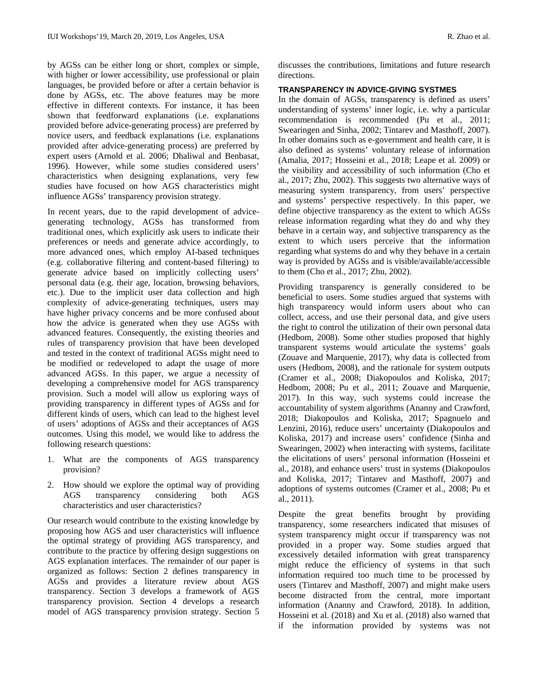by AGSs can be either long or short, complex or simple, with higher or lower accessibility, use professional or plain languages, be provided before or after a certain behavior is done by AGSs, etc. The above features may be more effective in different contexts. For instance, it has been shown that feedforward explanations (i.e. explanations provided before advice-generating process) are preferred by novice users, and feedback explanations (i.e. explanations provided after advice-generating process) are preferred by expert users (Arnold et al. 2006; Dhaliwal and Benbasat, 1996). However, while some studies considered users' characteristics when designing explanations, very few studies have focused on how AGS characteristics might influence AGSs' transparency provision strategy.

In recent years, due to the rapid development of advicegenerating technology, AGSs has transformed from traditional ones, which explicitly ask users to indicate their preferences or needs and generate advice accordingly, to more advanced ones, which employ AI-based techniques (e.g. collaborative filtering and content-based filtering) to generate advice based on implicitly collecting users' personal data (e.g. their age, location, browsing behaviors, etc.). Due to the implicit user data collection and high complexity of advice-generating techniques, users may have higher privacy concerns and be more confused about how the advice is generated when they use AGSs with advanced features. Consequently, the existing theories and rules of transparency provision that have been developed and tested in the context of traditional AGSs might need to be modified or redeveloped to adapt the usage of more advanced AGSs. In this paper, we argue a necessity of developing a comprehensive model for AGS transparency provision. Such a model will allow us exploring ways of providing transparency in different types of AGSs and for different kinds of users, which can lead to the highest level of users' adoptions of AGSs and their acceptances of AGS outcomes. Using this model, we would like to address the following research questions:

- 1. What are the components of AGS transparency provision?
- 2. How should we explore the optimal way of providing AGS transparency considering both AGS characteristics and user characteristics?

Our research would contribute to the existing knowledge by proposing how AGS and user characteristics will influence the optimal strategy of providing AGS transparency, and contribute to the practice by offering design suggestions on AGS explanation interfaces. The remainder of our paper is organized as follows: Section 2 defines transparency in AGSs and provides a literature review about AGS transparency. Section 3 develops a framework of AGS transparency provision. Section 4 develops a research model of AGS transparency provision strategy. Section 5

discusses the contributions, limitations and future research directions.

# **TRANSPARENCY IN ADVICE-GIVING SYSTMES**

In the domain of AGSs, transparency is defined as users' understanding of systems' inner logic, i.e. why a particular recommendation is recommended (Pu et al., 2011; Swearingen and Sinha, 2002; Tintarev and Masthoff, 2007). In other domains such as e-government and health care, it is also defined as systems' voluntary release of information (Amalia, 2017; Hosseini et al., 2018; Leape et al. 2009) or the visibility and accessibility of such information (Cho et al., 2017; Zhu, 2002). This suggests two alternative ways of measuring system transparency, from users' perspective and systems' perspective respectively. In this paper, we define objective transparency as the extent to which AGSs release information regarding what they do and why they behave in a certain way, and subjective transparency as the extent to which users perceive that the information regarding what systems do and why they behave in a certain way is provided by AGSs and is visible/available/accessible to them (Cho et al., 2017; Zhu, 2002).

Providing transparency is generally considered to be beneficial to users. Some studies argued that systems with high transparency would inform users about who can collect, access, and use their personal data, and give users the right to control the utilization of their own personal data (Hedbom, 2008). Some other studies proposed that highly transparent systems would articulate the systems' goals (Zouave and Marquenie, 2017), why data is collected from users (Hedbom, 2008), and the rationale for system outputs (Cramer et al., 2008; Diakopoulos and Koliska, 2017; Hedbom, 2008; Pu et al., 2011; Zouave and Marquenie, 2017). In this way, such systems could increase the accountability of system algorithms (Ananny and Crawford, 2018; Diakopoulos and Koliska, 2017; Spagnuelo and Lenzini, 2016), reduce users' uncertainty (Diakopoulos and Koliska, 2017) and increase users' confidence (Sinha and Swearingen, 2002) when interacting with systems, facilitate the elicitations of users' personal information (Hosseini et al., 2018), and enhance users' trust in systems (Diakopoulos and Koliska, 2017; Tintarev and Masthoff, 2007) and adoptions of systems outcomes (Cramer et al., 2008; Pu et al., 2011).

Despite the great benefits brought by providing transparency, some researchers indicated that misuses of system transparency might occur if transparency was not provided in a proper way. Some studies argued that excessively detailed information with great transparency might reduce the efficiency of systems in that such information required too much time to be processed by users (Tintarev and Masthoff, 2007) and might make users become distracted from the central, more important information (Ananny and Crawford, 2018). In addition, Hosseini et al. (2018) and Xu et al. (2018) also warned that if the information provided by systems was not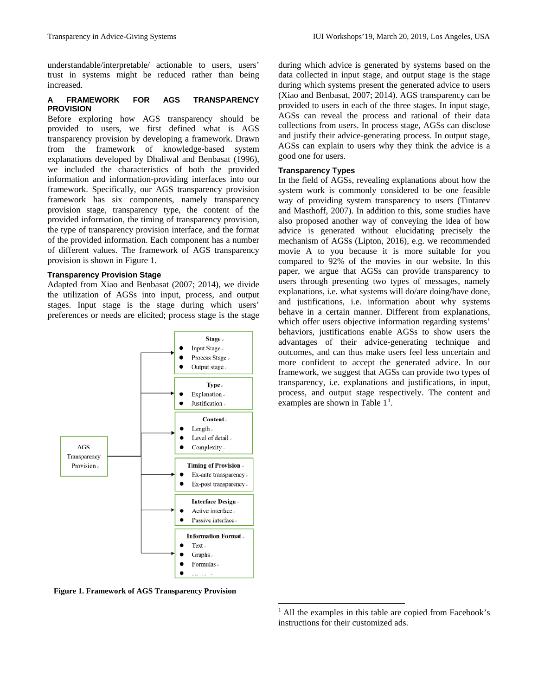understandable/interpretable/ actionable to users, users' trust in systems might be reduced rather than being increased.

## **A FRAMEWORK FOR AGS TRANSPARENCY PROVISION**

Before exploring how AGS transparency should be provided to users, we first defined what is AGS transparency provision by developing a framework. Drawn from the framework of knowledge-based system explanations developed by Dhaliwal and Benbasat (1996), we included the characteristics of both the provided information and information-providing interfaces into our framework. Specifically, our AGS transparency provision framework has six components, namely transparency provision stage, transparency type, the content of the provided information, the timing of transparency provision, the type of transparency provision interface, and the format of the provided information. Each component has a number of different values. The framework of AGS transparency provision is shown in Figure 1.

## **Transparency Provision Stage**

Adapted from Xiao and Benbasat (2007; 2014), we divide the utilization of AGSs into input, process, and output stages. Input stage is the stage during which users' preferences or needs are elicited; process stage is the stage



<span id="page-2-0"></span>**Figure 1. Framework of AGS Transparency Provision**

during which advice is generated by systems based on the data collected in input stage, and output stage is the stage during which systems present the generated advice to users (Xiao and Benbasat, 2007; 2014). AGS transparency can be provided to users in each of the three stages. In input stage, AGSs can reveal the process and rational of their data collections from users. In process stage, AGSs can disclose and justify their advice-generating process. In output stage, AGSs can explain to users why they think the advice is a good one for users.

## **Transparency Types**

In the field of AGSs, revealing explanations about how the system work is commonly considered to be one feasible way of providing system transparency to users (Tintarev and Masthoff, 2007). In addition to this, some studies have also proposed another way of conveying the idea of how advice is generated without elucidating precisely the mechanism of AGSs (Lipton, 2016), e.g. we recommended movie A to you because it is more suitable for you compared to 92% of the movies in our website. In this paper, we argue that AGSs can provide transparency to users through presenting two types of messages, namely explanations, i.e. what systems will do/are doing/have done, and justifications, i.e. information about why systems behave in a certain manner. Different from explanations, which offer users objective information regarding systems' behaviors, justifications enable AGSs to show users the advantages of their advice-generating technique and outcomes, and can thus make users feel less uncertain and more confident to accept the generated advice. In our framework, we suggest that AGSs can provide two types of transparency, i.e. explanations and justifications, in input, process, and output stage respectively. The content and examples are shown in Table  $1<sup>1</sup>$  $1<sup>1</sup>$ .

<sup>&</sup>lt;sup>1</sup> All the examples in this table are copied from Facebook's instructions for their customized ads.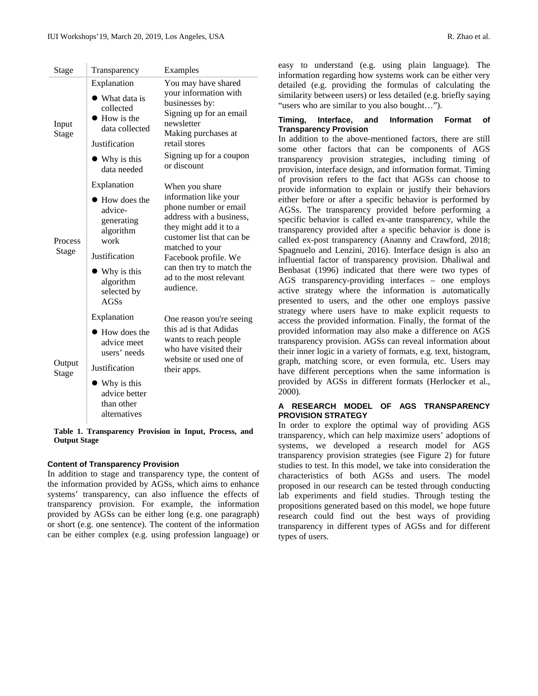$\mathbb{R}^2$ 

| Stage            | Transparency                                                                                                                                                  | Examples                                                                                                                                                                                                                                                            |  |  |
|------------------|---------------------------------------------------------------------------------------------------------------------------------------------------------------|---------------------------------------------------------------------------------------------------------------------------------------------------------------------------------------------------------------------------------------------------------------------|--|--|
| Input<br>Stage   | Explanation<br>• What data is<br>collected<br>$\bullet$ How is the<br>data collected<br>Justification<br>• Why is this<br>data needed                         | You may have shared<br>your information with<br>businesses by:<br>Signing up for an email<br>newsletter<br>Making purchases at<br>retail stores<br>Signing up for a coupon<br>or discount                                                                           |  |  |
| Process<br>Stage | Explanation<br>• How does the<br>advice-<br>generating<br>algorithm<br>work<br>Justification<br>$\bullet$ Why is this<br>algorithm<br>selected by<br>AGSs     | When you share<br>information like your<br>phone number or email<br>address with a business,<br>they might add it to a<br>customer list that can be<br>matched to your<br>Facebook profile. We<br>can then try to match the<br>ad to the most relevant<br>audience. |  |  |
| Output<br>Stage  | Explanation<br>$\bullet$ How does the<br>advice meet<br>users' needs<br>Justification<br>$\bullet$ Why is this<br>advice better<br>than other<br>alternatives | One reason you're seeing<br>this ad is that Adidas<br>wants to reach people<br>who have visited their<br>website or used one of<br>their apps.                                                                                                                      |  |  |

**Table 1. Transparency Provision in Input, Process, and Output Stage**

## **Content of Transparency Provision**

In addition to stage and transparency type, the content of the information provided by AGSs, which aims to enhance systems' transparency, can also influence the effects of transparency provision. For example, the information provided by AGSs can be either long (e.g. one paragraph) or short (e.g. one sentence). The content of the information can be either complex (e.g. using profession language) or easy to understand (e.g. using plain language). The information regarding how systems work can be either very detailed (e.g. providing the formulas of calculating the similarity between users) or less detailed (e.g. briefly saying "users who are similar to you also bought…").

#### **Timing, Interface, and Information Format of Transparency Provision**

In addition to the above-mentioned factors, there are still some other factors that can be components of AGS transparency provision strategies, including timing of provision, interface design, and information format. Timing of provision refers to the fact that AGSs can choose to provide information to explain or justify their behaviors either before or after a specific behavior is performed by AGSs. The transparency provided before performing a specific behavior is called ex-ante transparency, while the transparency provided after a specific behavior is done is called ex-post transparency (Ananny and Crawford, 2018; Spagnuelo and Lenzini, 2016). Interface design is also an influential factor of transparency provision. Dhaliwal and Benbasat (1996) indicated that there were two types of AGS transparency-providing interfaces – one employs active strategy where the information is automatically presented to users, and the other one employs passive strategy where users have to make explicit requests to access the provided information. Finally, the format of the provided information may also make a difference on AGS transparency provision. AGSs can reveal information about their inner logic in a variety of formats, e.g. text, histogram, graph, matching score, or even formula, etc. Users may have different perceptions when the same information is provided by AGSs in different formats (Herlocker et al., 2000).

#### **A RESEARCH MODEL OF AGS TRANSPARENCY PROVISION STRATEGY**

In order to explore the optimal way of providing AGS transparency, which can help maximize users' adoptions of systems, we developed a research model for AGS transparency provision strategies (see Figure 2) for future studies to test. In this model, we take into consideration the characteristics of both AGSs and users. The model proposed in our research can be tested through conducting lab experiments and field studies. Through testing the propositions generated based on this model, we hope future research could find out the best ways of providing transparency in different types of AGSs and for different types of users.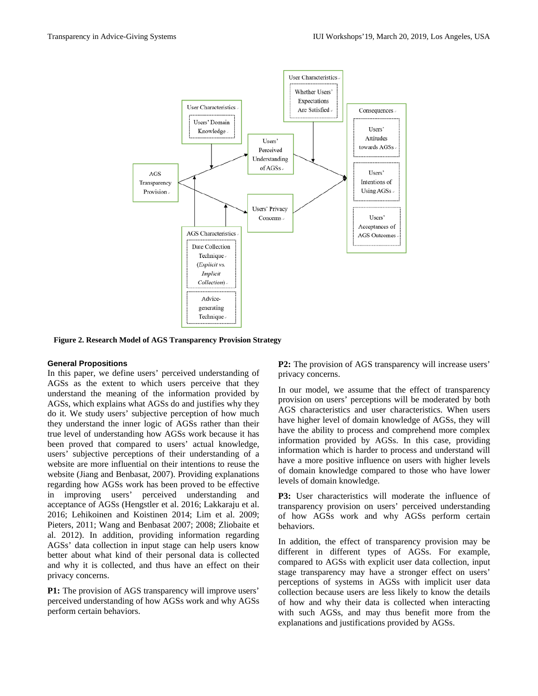

**Figure 2. Research Model of AGS Transparency Provision Strategy**

#### **General Propositions**

In this paper, we define users' perceived understanding of AGSs as the extent to which users perceive that they understand the meaning of the information provided by AGSs, which explains what AGSs do and justifies why they do it. We study users' subjective perception of how much they understand the inner logic of AGSs rather than their true level of understanding how AGSs work because it has been proved that compared to users' actual knowledge, users' subjective perceptions of their understanding of a website are more influential on their intentions to reuse the website (Jiang and Benbasat, 2007). Providing explanations regarding how AGSs work has been proved to be effective in improving users' perceived understanding and acceptance of AGSs (Hengstler et al. 2016; Lakkaraju et al. 2016; Lehikoinen and Koistinen 2014; Lim et al. 2009; Pieters, 2011; Wang and Benbasat 2007; 2008; Zliobaite et al. 2012). In addition, providing information regarding AGSs' data collection in input stage can help users know better about what kind of their personal data is collected and why it is collected, and thus have an effect on their privacy concerns.

**P1:** The provision of AGS transparency will improve users' perceived understanding of how AGSs work and why AGSs perform certain behaviors.

**P2:** The provision of AGS transparency will increase users' privacy concerns.

In our model, we assume that the effect of transparency provision on users' perceptions will be moderated by both AGS characteristics and user characteristics. When users have higher level of domain knowledge of AGSs, they will have the ability to process and comprehend more complex information provided by AGSs. In this case, providing information which is harder to process and understand will have a more positive influence on users with higher levels of domain knowledge compared to those who have lower levels of domain knowledge.

**P3:** User characteristics will moderate the influence of transparency provision on users' perceived understanding of how AGSs work and why AGSs perform certain behaviors.

In addition, the effect of transparency provision may be different in different types of AGSs. For example, compared to AGSs with explicit user data collection, input stage transparency may have a stronger effect on users' perceptions of systems in AGSs with implicit user data collection because users are less likely to know the details of how and why their data is collected when interacting with such AGSs, and may thus benefit more from the explanations and justifications provided by AGSs.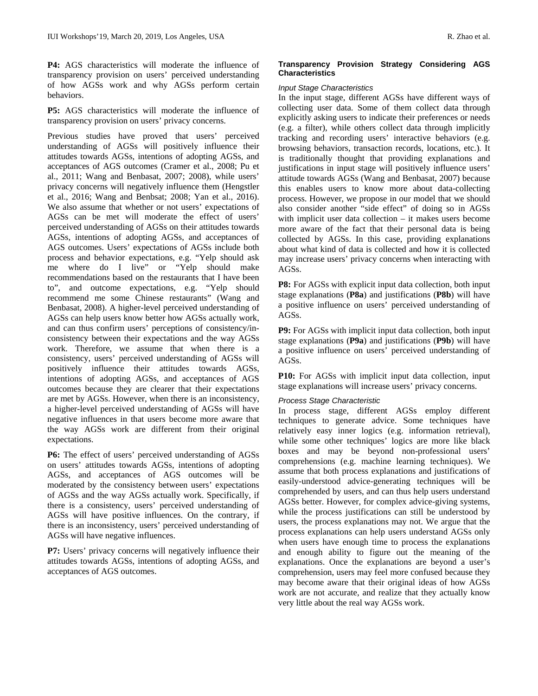**P4:** AGS characteristics will moderate the influence of transparency provision on users' perceived understanding of how AGSs work and why AGSs perform certain behaviors.

**P5:** AGS characteristics will moderate the influence of transparency provision on users' privacy concerns.

Previous studies have proved that users' perceived understanding of AGSs will positively influence their attitudes towards AGSs, intentions of adopting AGSs, and acceptances of AGS outcomes (Cramer et al., 2008; Pu et al., 2011; Wang and Benbasat, 2007; 2008), while users' privacy concerns will negatively influence them (Hengstler et al., 2016; Wang and Benbsat; 2008; Yan et al., 2016). We also assume that whether or not users' expectations of AGSs can be met will moderate the effect of users' perceived understanding of AGSs on their attitudes towards AGSs, intentions of adopting AGSs, and acceptances of AGS outcomes. Users' expectations of AGSs include both process and behavior expectations, e.g. "Yelp should ask me where do I live" or "Yelp should make recommendations based on the restaurants that I have been to", and outcome expectations, e.g. "Yelp should recommend me some Chinese restaurants" (Wang and Benbasat, 2008). A higher-level perceived understanding of AGSs can help users know better how AGSs actually work, and can thus confirm users' perceptions of consistency/inconsistency between their expectations and the way AGSs work. Therefore, we assume that when there is a consistency, users' perceived understanding of AGSs will positively influence their attitudes towards AGSs, intentions of adopting AGSs, and acceptances of AGS outcomes because they are clearer that their expectations are met by AGSs. However, when there is an inconsistency, a higher-level perceived understanding of AGSs will have negative influences in that users become more aware that the way AGSs work are different from their original expectations.

**P6:** The effect of users' perceived understanding of AGSs on users' attitudes towards AGSs, intentions of adopting AGSs, and acceptances of AGS outcomes will be moderated by the consistency between users' expectations of AGSs and the way AGSs actually work. Specifically, if there is a consistency, users' perceived understanding of AGSs will have positive influences. On the contrary, if there is an inconsistency, users' perceived understanding of AGSs will have negative influences.

P7: Users' privacy concerns will negatively influence their attitudes towards AGSs, intentions of adopting AGSs, and acceptances of AGS outcomes.

# **Transparency Provision Strategy Considering AGS Characteristics**

## *Input Stage Characteristics*

In the input stage, different AGSs have different ways of collecting user data. Some of them collect data through explicitly asking users to indicate their preferences or needs (e.g. a filter), while others collect data through implicitly tracking and recording users' interactive behaviors (e.g. browsing behaviors, transaction records, locations, etc.). It is traditionally thought that providing explanations and justifications in input stage will positively influence users' attitude towards AGSs (Wang and Benbasat, 2007) because this enables users to know more about data-collecting process. However, we propose in our model that we should also consider another "side effect" of doing so in AGSs with implicit user data collection – it makes users become more aware of the fact that their personal data is being collected by AGSs. In this case, providing explanations about what kind of data is collected and how it is collected may increase users' privacy concerns when interacting with AGSs.

**P8:** For AGSs with explicit input data collection, both input stage explanations (**P8a**) and justifications (**P8b**) will have a positive influence on users' perceived understanding of AGSs.

**P9:** For AGSs with implicit input data collection, both input stage explanations (**P9a**) and justifications (**P9b**) will have a positive influence on users' perceived understanding of AGSs.

**P10:** For AGSs with implicit input data collection, input stage explanations will increase users' privacy concerns.

## *Process Stage Characteristic*

In process stage, different AGSs employ different techniques to generate advice. Some techniques have relatively easy inner logics (e.g. information retrieval), while some other techniques' logics are more like black boxes and may be beyond non-professional users' comprehensions (e.g. machine learning techniques). We assume that both process explanations and justifications of easily-understood advice-generating techniques will be comprehended by users, and can thus help users understand AGSs better. However, for complex advice-giving systems, while the process justifications can still be understood by users, the process explanations may not. We argue that the process explanations can help users understand AGSs only when users have enough time to process the explanations and enough ability to figure out the meaning of the explanations. Once the explanations are beyond a user's comprehension, users may feel more confused because they may become aware that their original ideas of how AGSs work are not accurate, and realize that they actually know very little about the real way AGSs work.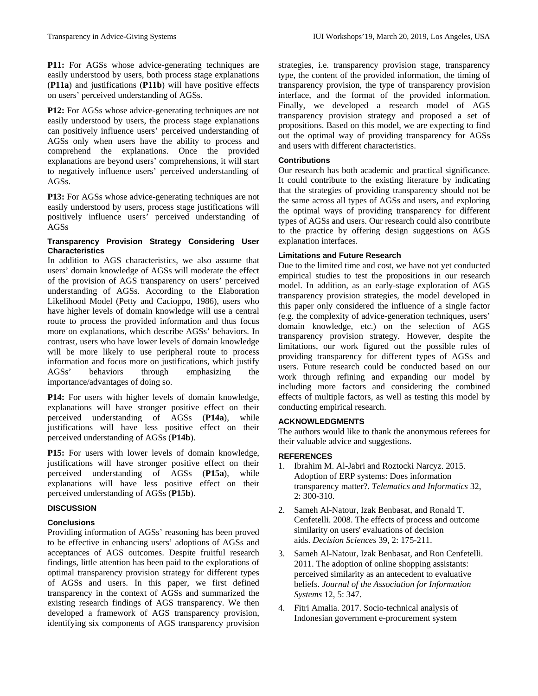**P11:** For AGSs whose advice-generating techniques are easily understood by users, both process stage explanations (**P11a**) and justifications (**P11b**) will have positive effects on users' perceived understanding of AGSs.

**P12:** For AGSs whose advice-generating techniques are not easily understood by users, the process stage explanations can positively influence users' perceived understanding of AGSs only when users have the ability to process and comprehend the explanations. Once the provided explanations are beyond users' comprehensions, it will start to negatively influence users' perceived understanding of AGSs.

**P13:** For AGSs whose advice-generating techniques are not easily understood by users, process stage justifications will positively influence users' perceived understanding of AGSs

# **Transparency Provision Strategy Considering User Characteristics**

In addition to AGS characteristics, we also assume that users' domain knowledge of AGSs will moderate the effect of the provision of AGS transparency on users' perceived understanding of AGSs. According to the Elaboration Likelihood Model (Petty and Cacioppo, 1986), users who have higher levels of domain knowledge will use a central route to process the provided information and thus focus more on explanations, which describe AGSs' behaviors. In contrast, users who have lower levels of domain knowledge will be more likely to use peripheral route to process information and focus more on justifications, which justify AGSs' behaviors through emphasizing the importance/advantages of doing so.

**P14:** For users with higher levels of domain knowledge, explanations will have stronger positive effect on their perceived understanding of AGSs (**P14a**), while justifications will have less positive effect on their perceived understanding of AGSs (**P14b**).

**P15:** For users with lower levels of domain knowledge, justifications will have stronger positive effect on their perceived understanding of AGSs (**P15a**), while explanations will have less positive effect on their perceived understanding of AGSs (**P15b**).

# **DISCUSSION**

# **Conclusions**

Providing information of AGSs' reasoning has been proved to be effective in enhancing users' adoptions of AGSs and acceptances of AGS outcomes. Despite fruitful research findings, little attention has been paid to the explorations of optimal transparency provision strategy for different types of AGSs and users. In this paper, we first defined transparency in the context of AGSs and summarized the existing research findings of AGS transparency. We then developed a framework of AGS transparency provision, identifying six components of AGS transparency provision strategies, i.e. transparency provision stage, transparency type, the content of the provided information, the timing of transparency provision, the type of transparency provision interface, and the format of the provided information. Finally, we developed a research model of AGS transparency provision strategy and proposed a set of propositions. Based on this model, we are expecting to find out the optimal way of providing transparency for AGSs and users with different characteristics.

# **Contributions**

Our research has both academic and practical significance. It could contribute to the existing literature by indicating that the strategies of providing transparency should not be the same across all types of AGSs and users, and exploring the optimal ways of providing transparency for different types of AGSs and users. Our research could also contribute to the practice by offering design suggestions on AGS explanation interfaces.

# **Limitations and Future Research**

Due to the limited time and cost, we have not yet conducted empirical studies to test the propositions in our research model. In addition, as an early-stage exploration of AGS transparency provision strategies, the model developed in this paper only considered the influence of a single factor (e.g. the complexity of advice-generation techniques, users' domain knowledge, etc.) on the selection of AGS transparency provision strategy. However, despite the limitations, our work figured out the possible rules of providing transparency for different types of AGSs and users. Future research could be conducted based on our work through refining and expanding our model by including more factors and considering the combined effects of multiple factors, as well as testing this model by conducting empirical research.

# **ACKNOWLEDGMENTS**

The authors would like to thank the anonymous referees for their valuable advice and suggestions.

# **REFERENCES**

- 1. Ibrahim M. Al-Jabri and Roztocki Narcyz. 2015. Adoption of ERP systems: Does information transparency matter?. *Telematics and Informatics* 32, 2: 300-310.
- 2. Sameh Al‐Natour, Izak Benbasat, and Ronald T. Cenfetelli. 2008. The effects of process and outcome similarity on users' evaluations of decision aids. *Decision Sciences* 39, 2: 175-211.
- 3. Sameh Al-Natour, Izak Benbasat, and Ron Cenfetelli. 2011. The adoption of online shopping assistants: perceived similarity as an antecedent to evaluative beliefs. *Journal of the Association for Information Systems* 12, 5: 347.
- 4. Fitri Amalia. 2017. Socio-technical analysis of Indonesian government e-procurement system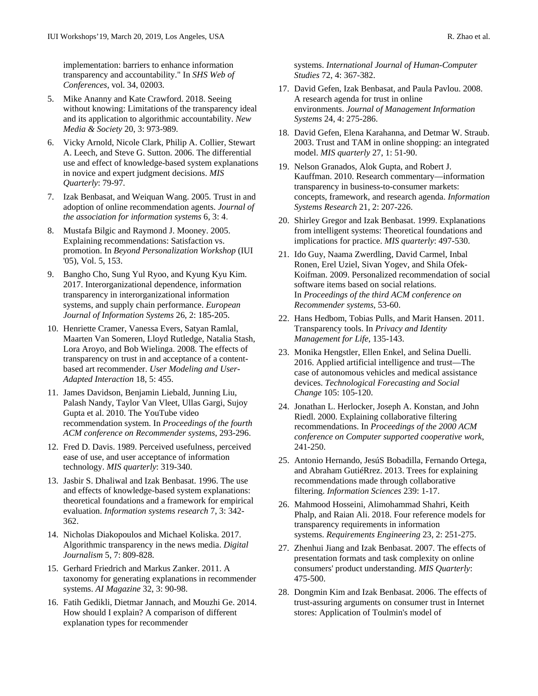implementation: barriers to enhance information transparency and accountability." In *SHS Web of Conferences*, vol. 34, 02003.

- 5. Mike Ananny and Kate Crawford. 2018. Seeing without knowing: Limitations of the transparency ideal and its application to algorithmic accountability. *New Media & Society* 20, 3: 973-989.
- 6. Vicky Arnold, Nicole Clark, Philip A. Collier, Stewart A. Leech, and Steve G. Sutton. 2006. The differential use and effect of knowledge-based system explanations in novice and expert judgment decisions. *MIS Quarterly*: 79-97.
- 7. Izak Benbasat, and Weiquan Wang. 2005. Trust in and adoption of online recommendation agents. *Journal of the association for information systems* 6, 3: 4.
- 8. Mustafa Bilgic and Raymond J. Mooney. 2005. Explaining recommendations: Satisfaction vs. promotion. In *Beyond Personalization Workshop* (IUI '05), Vol. 5, 153.
- 9. Bangho Cho, Sung Yul Ryoo, and Kyung Kyu Kim. 2017. Interorganizational dependence, information transparency in interorganizational information systems, and supply chain performance. *European Journal of Information Systems* 26, 2: 185-205.
- 10. Henriette Cramer, Vanessa Evers, Satyan Ramlal, Maarten Van Someren, Lloyd Rutledge, Natalia Stash, Lora Aroyo, and Bob Wielinga. 2008. The effects of transparency on trust in and acceptance of a contentbased art recommender. *User Modeling and User-Adapted Interaction* 18, 5: 455.
- 11. James Davidson, Benjamin Liebald, Junning Liu, Palash Nandy, Taylor Van Vleet, Ullas Gargi, Sujoy Gupta et al. 2010. The YouTube video recommendation system. In *Proceedings of the fourth ACM conference on Recommender systems*, 293-296.
- 12. Fred D. Davis. 1989. Perceived usefulness, perceived ease of use, and user acceptance of information technology. *MIS quarterly*: 319-340.
- 13. Jasbir S. Dhaliwal and Izak Benbasat. 1996. The use and effects of knowledge-based system explanations: theoretical foundations and a framework for empirical evaluation. *Information systems research* 7, 3: 342- 362.
- 14. Nicholas Diakopoulos and Michael Koliska. 2017. Algorithmic transparency in the news media. *Digital Journalism* 5, 7: 809-828.
- 15. Gerhard Friedrich and Markus Zanker. 2011. A taxonomy for generating explanations in recommender systems. *AI Magazine* 32, 3: 90-98.
- 16. Fatih Gedikli, Dietmar Jannach, and Mouzhi Ge. 2014. How should I explain? A comparison of different explanation types for recommender

systems. *International Journal of Human-Computer Studies* 72, 4: 367-382.

- 17. David Gefen, Izak Benbasat, and Paula Pavlou. 2008. A research agenda for trust in online environments. *Journal of Management Information Systems* 24, 4: 275-286.
- 18. David Gefen, Elena Karahanna, and Detmar W. Straub. 2003. Trust and TAM in online shopping: an integrated model. *MIS quarterly* 27, 1: 51-90.
- 19. Nelson Granados, Alok Gupta, and Robert J. Kauffman. 2010. Research commentary—information transparency in business-to-consumer markets: concepts, framework, and research agenda. *Information Systems Research* 21, 2: 207-226.
- 20. Shirley Gregor and Izak Benbasat. 1999. Explanations from intelligent systems: Theoretical foundations and implications for practice. *MIS quarterly*: 497-530.
- 21. Ido Guy, Naama Zwerdling, David Carmel, Inbal Ronen, Erel Uziel, Sivan Yogev, and Shila Ofek-Koifman. 2009. Personalized recommendation of social software items based on social relations. In *Proceedings of the third ACM conference on Recommender systems*, 53-60.
- 22. Hans Hedbom, Tobias Pulls, and Marit Hansen. 2011. Transparency tools. In *Privacy and Identity Management for Life*, 135-143.
- 23. Monika Hengstler, Ellen Enkel, and Selina Duelli. 2016. Applied artificial intelligence and trust—The case of autonomous vehicles and medical assistance devices. *Technological Forecasting and Social Change* 105: 105-120.
- 24. Jonathan L. Herlocker, Joseph A. Konstan, and John Riedl. 2000. Explaining collaborative filtering recommendations. In *Proceedings of the 2000 ACM conference on Computer supported cooperative work*, 241-250.
- 25. Antonio Hernando, JesúS Bobadilla, Fernando Ortega, and Abraham GutiéRrez. 2013. Trees for explaining recommendations made through collaborative filtering. *Information Sciences* 239: 1-17.
- 26. Mahmood Hosseini, Alimohammad Shahri, Keith Phalp, and Raian Ali. 2018. Four reference models for transparency requirements in information systems. *Requirements Engineering* 23, 2: 251-275.
- 27. Zhenhui Jiang and Izak Benbasat. 2007. The effects of presentation formats and task complexity on online consumers' product understanding. *MIS Quarterly*: 475-500.
- 28. Dongmin Kim and Izak Benbasat. 2006. The effects of trust-assuring arguments on consumer trust in Internet stores: Application of Toulmin's model of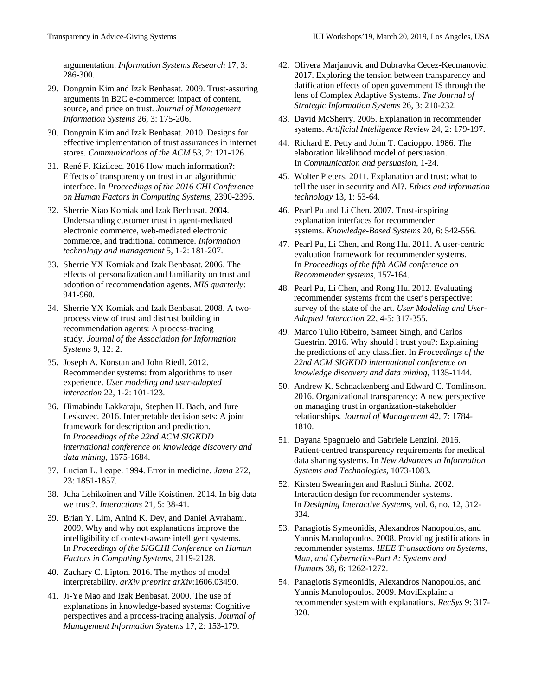argumentation. *Information Systems Research* 17, 3: 286-300.

- 29. Dongmin Kim and Izak Benbasat. 2009. Trust-assuring arguments in B2C e-commerce: impact of content, source, and price on trust. *Journal of Management Information Systems* 26, 3: 175-206.
- 30. Dongmin Kim and Izak Benbasat. 2010. Designs for effective implementation of trust assurances in internet stores. *Communications of the ACM* 53, 2: 121-126.
- 31. René F. Kizilcec. 2016 How much information?: Effects of transparency on trust in an algorithmic interface. In *Proceedings of the 2016 CHI Conference on Human Factors in Computing Systems*, 2390-2395.
- 32. Sherrie Xiao Komiak and Izak Benbasat. 2004. Understanding customer trust in agent-mediated electronic commerce, web-mediated electronic commerce, and traditional commerce. *Information technology and management* 5, 1-2: 181-207.
- 33. Sherrie YX Komiak and Izak Benbasat. 2006. The effects of personalization and familiarity on trust and adoption of recommendation agents. *MIS quarterly*: 941-960.
- 34. Sherrie YX Komiak and Izak Benbasat. 2008. A twoprocess view of trust and distrust building in recommendation agents: A process-tracing study. *Journal of the Association for Information Systems* 9, 12: 2.
- 35. Joseph A. Konstan and John Riedl. 2012. Recommender systems: from algorithms to user experience. *User modeling and user-adapted interaction* 22, 1-2: 101-123.
- 36. Himabindu Lakkaraju, Stephen H. Bach, and Jure Leskovec. 2016. Interpretable decision sets: A joint framework for description and prediction. In *Proceedings of the 22nd ACM SIGKDD international conference on knowledge discovery and data mining*, 1675-1684.
- 37. Lucian L. Leape. 1994. Error in medicine. *Jama* 272, 23: 1851-1857.
- 38. Juha Lehikoinen and Ville Koistinen. 2014. In big data we trust?. *Interactions* 21, 5: 38-41.
- 39. Brian Y. Lim, Anind K. Dey, and Daniel Avrahami. 2009. Why and why not explanations improve the intelligibility of context-aware intelligent systems. In *Proceedings of the SIGCHI Conference on Human Factors in Computing Systems*, 2119-2128.
- 40. Zachary C. Lipton. 2016. The mythos of model interpretability. *arXiv preprint arXiv*:1606.03490.
- 41. Ji-Ye Mao and Izak Benbasat. 2000. The use of explanations in knowledge-based systems: Cognitive perspectives and a process-tracing analysis. *Journal of Management Information Systems* 17, 2: 153-179.
- 42. Olivera Marjanovic and Dubravka Cecez-Kecmanovic. 2017. Exploring the tension between transparency and datification effects of open government IS through the lens of Complex Adaptive Systems. *The Journal of Strategic Information Systems* 26, 3: 210-232.
- 43. David McSherry. 2005. Explanation in recommender systems. *Artificial Intelligence Review* 24, 2: 179-197.
- 44. Richard E. Petty and John T. Cacioppo. 1986. The elaboration likelihood model of persuasion. In *Communication and persuasion*, 1-24.
- 45. Wolter Pieters. 2011. Explanation and trust: what to tell the user in security and AI?. *Ethics and information technology* 13, 1: 53-64.
- 46. Pearl Pu and Li Chen. 2007. Trust-inspiring explanation interfaces for recommender systems. *Knowledge-Based Systems* 20, 6: 542-556.
- 47. Pearl Pu, Li Chen, and Rong Hu. 2011. A user-centric evaluation framework for recommender systems. In *Proceedings of the fifth ACM conference on Recommender systems*, 157-164.
- 48. Pearl Pu, Li Chen, and Rong Hu. 2012. Evaluating recommender systems from the user's perspective: survey of the state of the art. *User Modeling and User-Adapted Interaction* 22, 4-5: 317-355.
- 49. Marco Tulio Ribeiro, Sameer Singh, and Carlos Guestrin. 2016. Why should i trust you?: Explaining the predictions of any classifier. In *Proceedings of the 22nd ACM SIGKDD international conference on knowledge discovery and data mining*, 1135-1144.
- 50. Andrew K. Schnackenberg and Edward C. Tomlinson. 2016. Organizational transparency: A new perspective on managing trust in organization-stakeholder relationships. *Journal of Management* 42, 7: 1784- 1810.
- 51. Dayana Spagnuelo and Gabriele Lenzini. 2016. Patient-centred transparency requirements for medical data sharing systems. In *New Advances in Information Systems and Technologies*, 1073-1083.
- 52. Kirsten Swearingen and Rashmi Sinha. 2002. Interaction design for recommender systems. In *Designing Interactive Systems*, vol. 6, no. 12, 312- 334.
- 53. Panagiotis Symeonidis, Alexandros Nanopoulos, and Yannis Manolopoulos. 2008. Providing justifications in recommender systems. *IEEE Transactions on Systems, Man, and Cybernetics-Part A: Systems and Humans* 38, 6: 1262-1272.
- 54. Panagiotis Symeonidis, Alexandros Nanopoulos, and Yannis Manolopoulos. 2009. MoviExplain: a recommender system with explanations. *RecSys* 9: 317- 320.